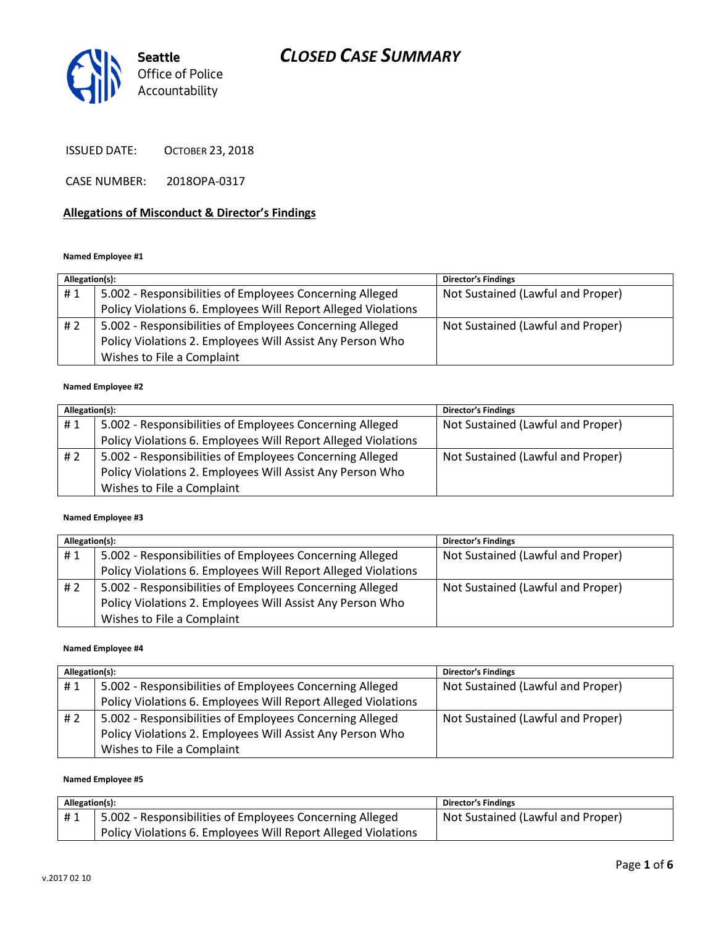

ISSUED DATE: OCTOBER 23, 2018

CASE NUMBER: 2018OPA-0317

#### Allegations of Misconduct & Director's Findings

#### Named Employee #1

| Allegation(s): |                                                               | <b>Director's Findings</b>        |
|----------------|---------------------------------------------------------------|-----------------------------------|
| #1             | 5.002 - Responsibilities of Employees Concerning Alleged      | Not Sustained (Lawful and Proper) |
|                | Policy Violations 6. Employees Will Report Alleged Violations |                                   |
| # 2            | 5.002 - Responsibilities of Employees Concerning Alleged      | Not Sustained (Lawful and Proper) |
|                | Policy Violations 2. Employees Will Assist Any Person Who     |                                   |
|                | Wishes to File a Complaint                                    |                                   |

#### Named Employee #2

| Allegation(s): |                                                               | <b>Director's Findings</b>        |
|----------------|---------------------------------------------------------------|-----------------------------------|
| #1             | 5.002 - Responsibilities of Employees Concerning Alleged      | Not Sustained (Lawful and Proper) |
|                | Policy Violations 6. Employees Will Report Alleged Violations |                                   |
| #2             | 5.002 - Responsibilities of Employees Concerning Alleged      | Not Sustained (Lawful and Proper) |
|                | Policy Violations 2. Employees Will Assist Any Person Who     |                                   |
|                | Wishes to File a Complaint                                    |                                   |

#### Named Employee #3

| Allegation(s): |                                                               | <b>Director's Findings</b>        |
|----------------|---------------------------------------------------------------|-----------------------------------|
| #1             | 5.002 - Responsibilities of Employees Concerning Alleged      | Not Sustained (Lawful and Proper) |
|                | Policy Violations 6. Employees Will Report Alleged Violations |                                   |
| #2             | 5.002 - Responsibilities of Employees Concerning Alleged      | Not Sustained (Lawful and Proper) |
|                | Policy Violations 2. Employees Will Assist Any Person Who     |                                   |
|                | Wishes to File a Complaint                                    |                                   |

#### Named Employee #4

| Allegation(s): |                                                               | <b>Director's Findings</b>        |
|----------------|---------------------------------------------------------------|-----------------------------------|
| #1             | 5.002 - Responsibilities of Employees Concerning Alleged      | Not Sustained (Lawful and Proper) |
|                | Policy Violations 6. Employees Will Report Alleged Violations |                                   |
| #2             | 5.002 - Responsibilities of Employees Concerning Alleged      | Not Sustained (Lawful and Proper) |
|                | Policy Violations 2. Employees Will Assist Any Person Who     |                                   |
|                | Wishes to File a Complaint                                    |                                   |

#### Named Employee #5

| Allegation(s): |                                                               | <b>Director's Findings</b>        |
|----------------|---------------------------------------------------------------|-----------------------------------|
| #1             | 5.002 - Responsibilities of Employees Concerning Alleged      | Not Sustained (Lawful and Proper) |
|                | Policy Violations 6. Employees Will Report Alleged Violations |                                   |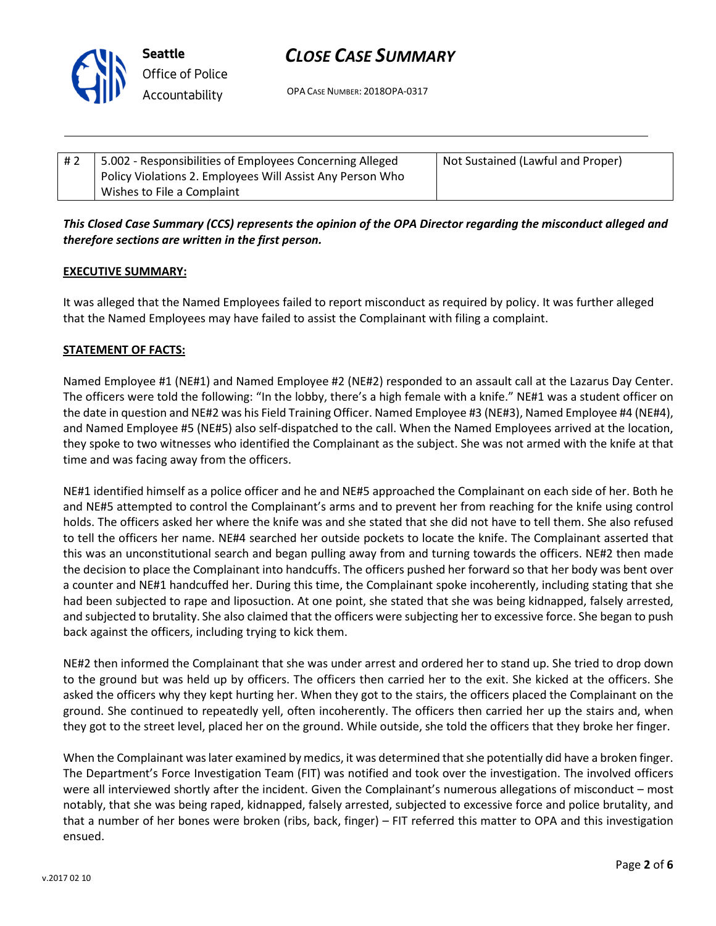

OPA CASE NUMBER: 2018OPA-0317

| #2 | 5.002 - Responsibilities of Employees Concerning Alleged  | Not Sustained (Lawful and Proper) |
|----|-----------------------------------------------------------|-----------------------------------|
|    | Policy Violations 2. Employees Will Assist Any Person Who |                                   |
|    | Wishes to File a Complaint                                |                                   |

# This Closed Case Summary (CCS) represents the opinion of the OPA Director regarding the misconduct alleged and therefore sections are written in the first person.

### EXECUTIVE SUMMARY:

It was alleged that the Named Employees failed to report misconduct as required by policy. It was further alleged that the Named Employees may have failed to assist the Complainant with filing a complaint.

## STATEMENT OF FACTS:

Named Employee #1 (NE#1) and Named Employee #2 (NE#2) responded to an assault call at the Lazarus Day Center. The officers were told the following: "In the lobby, there's a high female with a knife." NE#1 was a student officer on the date in question and NE#2 was his Field Training Officer. Named Employee #3 (NE#3), Named Employee #4 (NE#4), and Named Employee #5 (NE#5) also self-dispatched to the call. When the Named Employees arrived at the location, they spoke to two witnesses who identified the Complainant as the subject. She was not armed with the knife at that time and was facing away from the officers.

NE#1 identified himself as a police officer and he and NE#5 approached the Complainant on each side of her. Both he and NE#5 attempted to control the Complainant's arms and to prevent her from reaching for the knife using control holds. The officers asked her where the knife was and she stated that she did not have to tell them. She also refused to tell the officers her name. NE#4 searched her outside pockets to locate the knife. The Complainant asserted that this was an unconstitutional search and began pulling away from and turning towards the officers. NE#2 then made the decision to place the Complainant into handcuffs. The officers pushed her forward so that her body was bent over a counter and NE#1 handcuffed her. During this time, the Complainant spoke incoherently, including stating that she had been subjected to rape and liposuction. At one point, she stated that she was being kidnapped, falsely arrested, and subjected to brutality. She also claimed that the officers were subjecting her to excessive force. She began to push back against the officers, including trying to kick them.

NE#2 then informed the Complainant that she was under arrest and ordered her to stand up. She tried to drop down to the ground but was held up by officers. The officers then carried her to the exit. She kicked at the officers. She asked the officers why they kept hurting her. When they got to the stairs, the officers placed the Complainant on the ground. She continued to repeatedly yell, often incoherently. The officers then carried her up the stairs and, when they got to the street level, placed her on the ground. While outside, she told the officers that they broke her finger.

When the Complainant was later examined by medics, it was determined that she potentially did have a broken finger. The Department's Force Investigation Team (FIT) was notified and took over the investigation. The involved officers were all interviewed shortly after the incident. Given the Complainant's numerous allegations of misconduct – most notably, that she was being raped, kidnapped, falsely arrested, subjected to excessive force and police brutality, and that a number of her bones were broken (ribs, back, finger) – FIT referred this matter to OPA and this investigation ensued.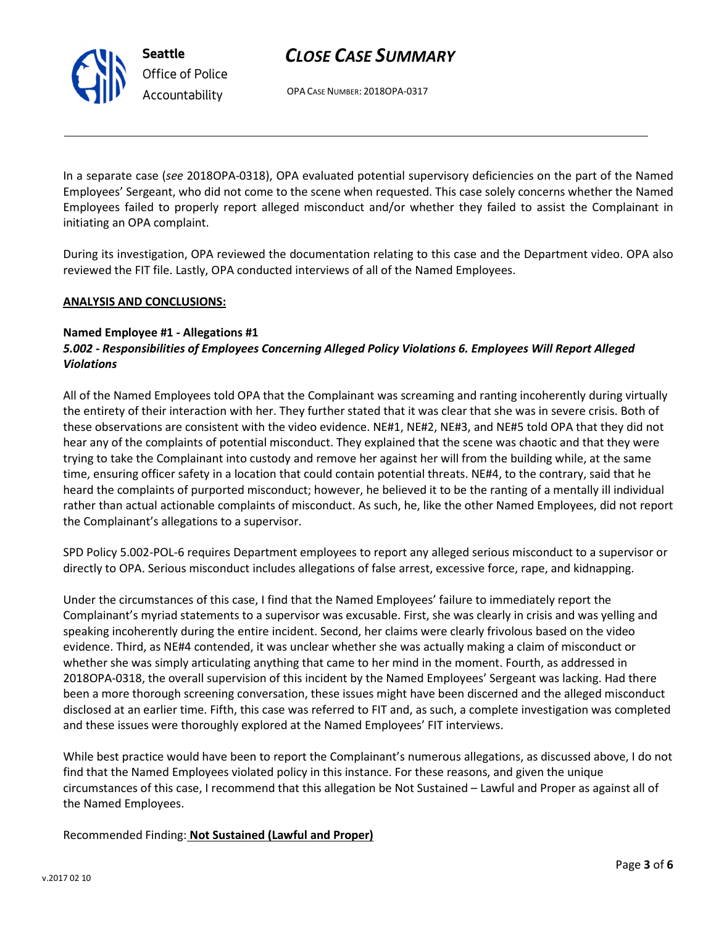OPA CASE NUMBER: 2018OPA-0317

In a separate case (see 2018OPA-0318), OPA evaluated potential supervisory deficiencies on the part of the Named Employees' Sergeant, who did not come to the scene when requested. This case solely concerns whether the Named Employees failed to properly report alleged misconduct and/or whether they failed to assist the Complainant in initiating an OPA complaint.

During its investigation, OPA reviewed the documentation relating to this case and the Department video. OPA also reviewed the FIT file. Lastly, OPA conducted interviews of all of the Named Employees.

### ANALYSIS AND CONCLUSIONS:

Seattle

Office of Police Accountability

#### Named Employee #1 - Allegations #1 5.002 - Responsibilities of Employees Concerning Alleged Policy Violations 6. Employees Will Report Alleged Violations

All of the Named Employees told OPA that the Complainant was screaming and ranting incoherently during virtually the entirety of their interaction with her. They further stated that it was clear that she was in severe crisis. Both of these observations are consistent with the video evidence. NE#1, NE#2, NE#3, and NE#5 told OPA that they did not hear any of the complaints of potential misconduct. They explained that the scene was chaotic and that they were trying to take the Complainant into custody and remove her against her will from the building while, at the same time, ensuring officer safety in a location that could contain potential threats. NE#4, to the contrary, said that he heard the complaints of purported misconduct; however, he believed it to be the ranting of a mentally ill individual rather than actual actionable complaints of misconduct. As such, he, like the other Named Employees, did not report the Complainant's allegations to a supervisor.

SPD Policy 5.002-POL-6 requires Department employees to report any alleged serious misconduct to a supervisor or directly to OPA. Serious misconduct includes allegations of false arrest, excessive force, rape, and kidnapping.

Under the circumstances of this case, I find that the Named Employees' failure to immediately report the Complainant's myriad statements to a supervisor was excusable. First, she was clearly in crisis and was yelling and speaking incoherently during the entire incident. Second, her claims were clearly frivolous based on the video evidence. Third, as NE#4 contended, it was unclear whether she was actually making a claim of misconduct or whether she was simply articulating anything that came to her mind in the moment. Fourth, as addressed in 2018OPA-0318, the overall supervision of this incident by the Named Employees' Sergeant was lacking. Had there been a more thorough screening conversation, these issues might have been discerned and the alleged misconduct disclosed at an earlier time. Fifth, this case was referred to FIT and, as such, a complete investigation was completed and these issues were thoroughly explored at the Named Employees' FIT interviews.

While best practice would have been to report the Complainant's numerous allegations, as discussed above, I do not find that the Named Employees violated policy in this instance. For these reasons, and given the unique circumstances of this case, I recommend that this allegation be Not Sustained – Lawful and Proper as against all of the Named Employees.

Recommended Finding: Not Sustained (Lawful and Proper)

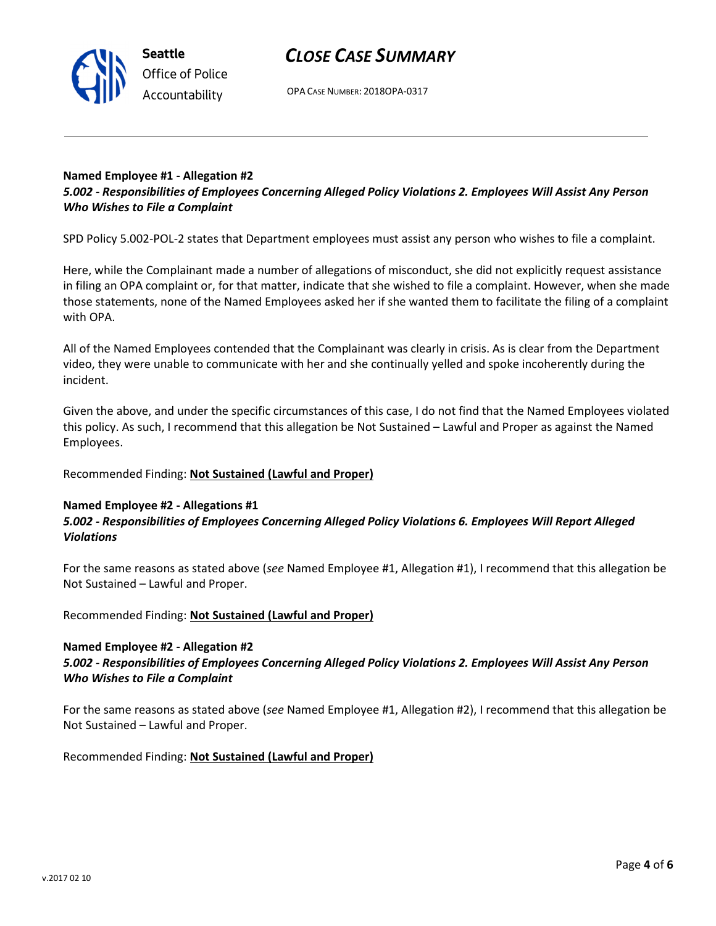OPA CASE NUMBER: 2018OPA-0317

## Named Employee #1 - Allegation #2 5.002 - Responsibilities of Employees Concerning Alleged Policy Violations 2. Employees Will Assist Any Person Who Wishes to File a Complaint

SPD Policy 5.002-POL-2 states that Department employees must assist any person who wishes to file a complaint.

Here, while the Complainant made a number of allegations of misconduct, she did not explicitly request assistance in filing an OPA complaint or, for that matter, indicate that she wished to file a complaint. However, when she made those statements, none of the Named Employees asked her if she wanted them to facilitate the filing of a complaint with OPA.

All of the Named Employees contended that the Complainant was clearly in crisis. As is clear from the Department video, they were unable to communicate with her and she continually yelled and spoke incoherently during the incident.

Given the above, and under the specific circumstances of this case, I do not find that the Named Employees violated this policy. As such, I recommend that this allegation be Not Sustained – Lawful and Proper as against the Named Employees.

Recommended Finding: Not Sustained (Lawful and Proper)

### Named Employee #2 - Allegations #1 5.002 - Responsibilities of Employees Concerning Alleged Policy Violations 6. Employees Will Report Alleged Violations

For the same reasons as stated above (see Named Employee #1, Allegation #1), I recommend that this allegation be Not Sustained – Lawful and Proper.

Recommended Finding: Not Sustained (Lawful and Proper)

### Named Employee #2 - Allegation #2

# 5.002 - Responsibilities of Employees Concerning Alleged Policy Violations 2. Employees Will Assist Any Person Who Wishes to File a Complaint

For the same reasons as stated above (see Named Employee #1, Allegation #2), I recommend that this allegation be Not Sustained – Lawful and Proper.

Recommended Finding: Not Sustained (Lawful and Proper)



Seattle Office of Police Accountability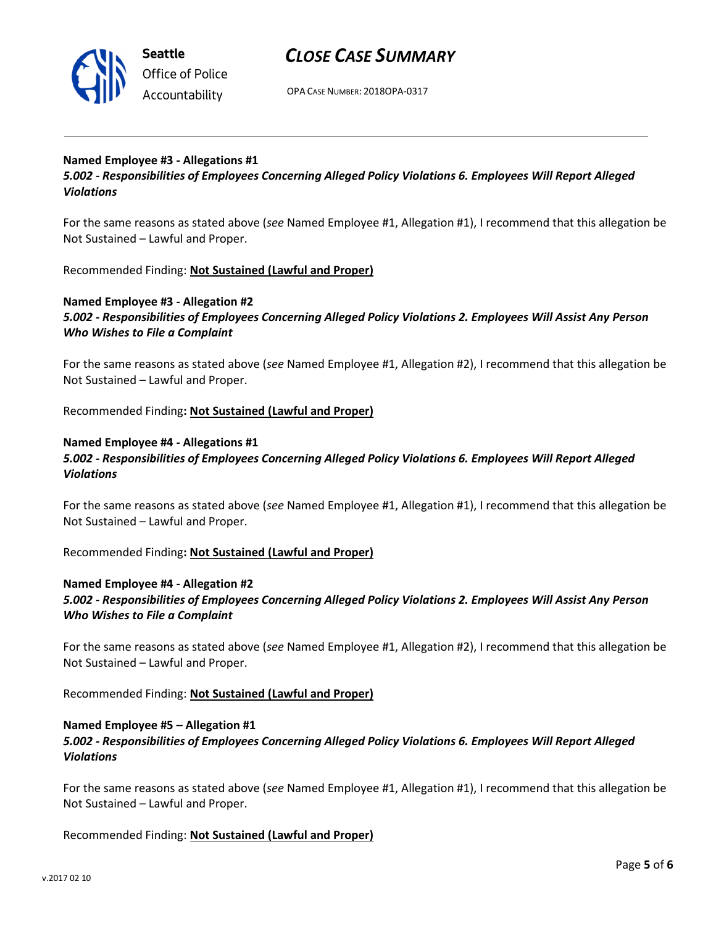

OPA CASE NUMBER: 2018OPA-0317

## Named Employee #3 - Allegations #1

5.002 - Responsibilities of Employees Concerning Alleged Policy Violations 6. Employees Will Report Alleged Violations

For the same reasons as stated above (see Named Employee #1, Allegation #1), I recommend that this allegation be Not Sustained – Lawful and Proper.

Recommended Finding: Not Sustained (Lawful and Proper)

## Named Employee #3 - Allegation #2

5.002 - Responsibilities of Employees Concerning Alleged Policy Violations 2. Employees Will Assist Any Person Who Wishes to File a Complaint

For the same reasons as stated above (see Named Employee #1, Allegation #2), I recommend that this allegation be Not Sustained – Lawful and Proper.

Recommended Finding: Not Sustained (Lawful and Proper)

#### Named Employee #4 - Allegations #1

# 5.002 - Responsibilities of Employees Concerning Alleged Policy Violations 6. Employees Will Report Alleged Violations

For the same reasons as stated above (see Named Employee #1, Allegation #1), I recommend that this allegation be Not Sustained – Lawful and Proper.

Recommended Finding: Not Sustained (Lawful and Proper)

#### Named Employee #4 - Allegation #2

## 5.002 - Responsibilities of Employees Concerning Alleged Policy Violations 2. Employees Will Assist Any Person Who Wishes to File a Complaint

For the same reasons as stated above (see Named Employee #1, Allegation #2), I recommend that this allegation be Not Sustained – Lawful and Proper.

Recommended Finding: Not Sustained (Lawful and Proper)

## Named Employee #5 – Allegation #1 5.002 - Responsibilities of Employees Concerning Alleged Policy Violations 6. Employees Will Report Alleged Violations

For the same reasons as stated above (see Named Employee #1, Allegation #1), I recommend that this allegation be Not Sustained – Lawful and Proper.

### Recommended Finding: Not Sustained (Lawful and Proper)